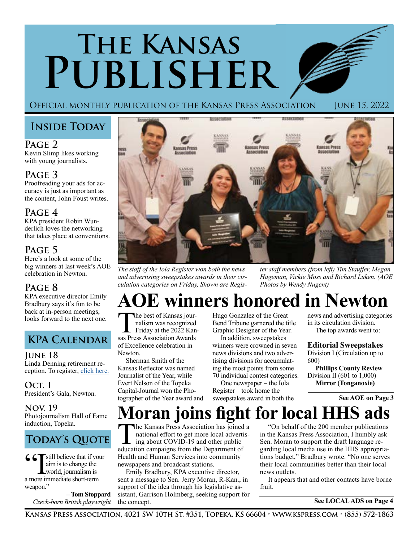# **The Kansas Publisher**

Official monthly publication of the Kansas Press Association June 15, 2022

## **Inside Today**

**Page 2**

Kevin Slimp likes working with young journalists.

### **Page 3**

Proofreading your ads for accuracy is just as important as the content, John Foust writes.

### **Page 4**

KPA president Robin Wunderlich loves the networking that takes place at conventions.

### **Page 5**

Here's a look at some of the big winners at last week's AOE celebration in Newton.

### **Page 8**

KPA executive director Emily Bradbury says it's fun to be back at in-person meetings, looks forward to the next one.

# **KPA Calendar**

### **June 18**

Linda Denning retirement reception. To register, [click here.](mailto:https://www.evite.com/event/0161RGUJRNF4KIVXWEPMVGDPUFSHVQ/rsvp%3Futm_campaign%3Dsend_sharable_link%26utm_source%3Devitelink%26utm_medium%3Dsharable_invite?subject=)

**Oct. 1** President's Gala, Newton.

### **Nov. 19**

Photojournalism Hall of Fame induction, Topeka.

# **TODAY'S QUOTE**

 $\mathbf{C}$   $\mathbf{\nabla}$  still believe that if your aim is to change the world, journalism is a more immediate short-term weapon."

> **– Tom Stoppard** *Czech-born British playwright*



*The staff of the Iola Register won both the news and advertising sweepstakes awards in their circulation categories on Friday, Shown are Regis-* *ter staff members (from left) Tim Stauffer, Megan Hageman, Vickie Moss and Richard Luken. (AOE Photos by Wendy Nugent)*

# **AOE winners honored in Newton**

The best of Kansas jour-<br>
nalism was recognized<br>
Friday at the 2022 Kansas<br>
Press Association Awards nalism was recognized sas Press Association Awards of Excellence celebration in Newton.

Sherman Smith of the Kansas Reflector was named Journalist of the Year, while Evert Nelson of the Topeka Capital-Journal won the Photographer of the Year award and Hugo Gonzalez of the Great Bend Tribune garnered the title Graphic Designer of the Year.

In addition, sweepstakes winners were crowned in seven news divisions and two advertising divisions for accumulating the most points from some 70 individual contest categories.

One newspaper – the Iola Register – took home the sweepstakes award in both the news and advertising categories in its circulation division. The top awards went to:

#### **Editorial Sweepstakes**

Division I (Circulation up to 600)

**Phillips County Review** Division II (601 to 1,000) **Mirror (Tonganoxie)**

 **See AOE on Page 3**

# **Moran joins fight for local HHS ads**

The Kansas Press Association has joined a national effort to get more local advertis- $\blacksquare$  ing about COVID-19 and other public education campaigns from the Department of Health and Human Services into community newspapers and broadcast stations.

Emily Bradbury, KPA executive director, sent a message to Sen. Jerry Moran, R-Kan., in support of the idea through his legislative assistant, Garrison Holmberg, seeking support for the concept.

"On behalf of the 200 member publications in the Kansas Press Association, I humbly ask Sen. Moran to support the draft language regarding local media use in the HHS appropriations budget," Bradbury wrote. "No one serves their local communities better than their local news outlets.

It appears that and other contacts have borne fruit.

 **See LOCAL ADS on Page 4**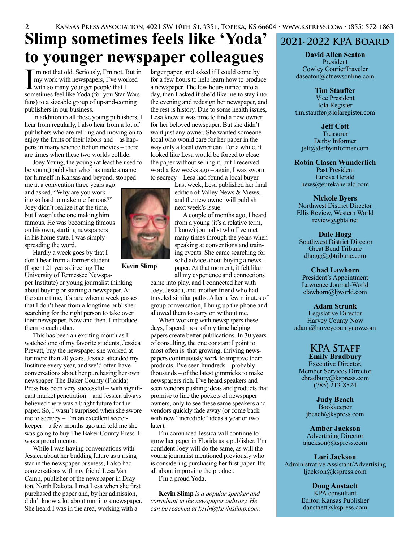# **Slimp sometimes feels like 'Yoda' to younger newspaper colleagues**

I'm not that old. Seriously, I'm not. I'm work with newspapers, I've work with so many younger people that I 'm not that old. Seriously, I'm not. But in my work with newspapers, I've worked sometimes feel like Yoda (for you Star Wars fans) to a sizeable group of up-and-coming publishers in our business.

In addition to all these young publishers, I hear from regularly, I also hear from a lot of publishers who are retiring and moving on to enjoy the fruits of their labors and – as happens in many science fiction movies – there are times when these two worlds collide.

Joey Young, the young (at least he used to be young) publisher who has made a name for himself in Kansas and beyond, stopped

me at a convention three years ago and asked, "Why are you working so hard to make me famous?" Joey didn't realize it at the time, but I wasn't the one making him famous. He was becoming famous on his own, starting newspapers in his home state. I was simply spreading the word.

Hardly a week goes by that I don't hear from a former student (I spent 21 years directing The

University of Tennessee Newspaper Institute) or young journalist thinking about buying or starting a newspaper. At the same time, it's rare when a week passes that I don't hear from a longtime publisher searching for the right person to take over their newspaper. Now and then, I introduce them to each other.

This has been an exciting month as I watched one of my favorite students, Jessica Prevatt, buy the newspaper she worked at for more than 20 years. Jessica attended my Institute every year, and we'd often have conversations about her purchasing her own newspaper. The Baker County (Florida) Press has been very successful – with significant market penetration – and Jessica always believed there was a bright future for the paper. So, I wasn't surprised when she swore me to secrecy – I'm an excellent secretkeeper – a few months ago and told me she was going to buy The Baker County Press. I was a proud mentor.

While I was having conversations with Jessica about her budding future as a rising star in the newspaper business, I also had conversations with my friend Lesa Van Camp, publisher of the newspaper in Drayton, North Dakota. I met Lesa when she first purchased the paper and, by her admission, didn't know a lot about running a newspaper. She heard I was in the area, working with a

larger paper, and asked if I could come by for a few hours to help learn how to produce a newspaper. The few hours turned into a day, then I asked if she'd like me to stay into the evening and redesign her newspaper, and the rest is history. Due to some health issues, Lesa knew it was time to find a new owner for her beloved newspaper. But she didn't want just any owner. She wanted someone local who would care for her paper in the way only a local owner can. For a while, it looked like Lesa would be forced to close the paper without selling it, but I received word a few weeks ago – again, I was sworn to secrecy – Lesa had found a local buyer.

> Last week, Lesa published her final edition of Valley News & Views, and the new owner will publish next week's issue.

> A couple of months ago, I heard from a young (it's a relative term, I know) journalist who I've met many times through the years when speaking at conventions and training events. She came searching for solid advice about buying a newspaper. At that moment, it felt like

**Kevin Slimp**

all my experience and connections came into play, and I connected her with Joey, Jessica, and another friend who had traveled similar paths. After a few minutes of group conversation, I hung up the phone and allowed them to carry on without me.

When working with newspapers these days, I spend most of my time helping papers create better publications. In 30 years of consulting, the one constant I point to most often is that growing, thriving newspapers continuously work to improve their products. I've seen hundreds – probably thousands – of the latest gimmicks to make newspapers rich. I've heard speakers and seen vendors pushing ideas and products that promise to line the pockets of newspaper owners, only to see these same speakers and vendors quickly fade away (or come back with new "incredible" ideas a year or two later).

I'm convinced Jessica will continue to grow her paper in Florida as a publisher. I'm confident Joey will do the same, as will the young journalist mentioned previously who is considering purchasing her first paper. It's all about improving the product.

I'm a proud Yoda.

**Kevin Slimp** *is a popular speaker and consultant in the newspaper industry. He can be reached at kevin@kevinslimp.com.*

### **2021-2022 KPA Board**

**David Allen Seaton** President Cowley CourierTraveler daseaton@ctnewsonline.com

**Tim Stauffer**

Vice President Iola Register tim.stauffer@iolaregister.com

**Jeff Cott**

Treasurer Derby Informer jeff@derbyinformer.com

**Robin Clasen Wunderlich** Past President Eureka Herald news@eurekaherald.com

**Nickole Byers**

Northwest District Director Ellis Review, Western World review@gbta.net

**Dale Hogg** Southwest District Director Great Bend Tribune dhogg@gbtribune.com

**Chad Lawhorn** President's Appointment Lawrence Journal-World clawhorn@ljworld.com

**Adam Strunk** Legislative Director Harvey County Now adam@harveycountynow.com

#### **KPA Staff Emily Bradbury**

Executive Director, Member Services Director ebradbury@kspress.com (785) 213-8524

**Judy Beach** Bookkeeper jbeach@kspress.com

**Amber Jackson** Advertising Director ajackson@kspress.com

**Lori Jackson** Administrative Assistant/Advertising ljackson@kspress.com

> **Doug Anstaett** KPA consultant Editor, Kansas Publisher danstaett@kspress.com

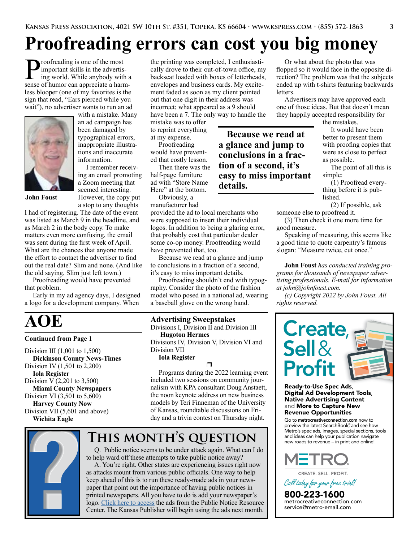# **Proofreading errors can cost you big money**

roofreading is one of the most important skills in the advertising world. While anybody with a sense of humor can appreciate a harmless blooper (one of my favorites is the sign that read, "Ears pierced while you wait"), no advertiser wants to run an ad



**John Foust**

with a mistake. Many an ad campaign has been damaged by typographical errors, inappropriate illustrations and inaccurate information.

I remember receiving an email promoting a Zoom meeting that seemed interesting. However, the copy put a stop to any thoughts

I had of registering. The date of the event was listed as March 9 in the headline, and as March 2 in the body copy. To make matters even more confusing, the email was sent during the first week of April. What are the chances that anyone made the effort to contact the advertiser to find out the real date? Slim and none. (And like the old saying, Slim just left town.)

Proofreading would have prevented that problem.

Early in my ad agency days, I designed a logo for a development company. When

# **AOE**

#### **Continued from Page 1**

Division III (1,001 to 1,500) **Dickinson County News-Times** Division IV (1,501 to 2,200) **Iola Register** Division V (2,201 to 3,500) **Miami County Newspapers** Division VI (3,501 to 5,600) **Harvey County Now** Division VII (5,601 and above) **Wichita Eagle**

the printing was completed, I enthusiastically drove to their out-of-town office, my backseat loaded with boxes of letterheads, envelopes and business cards. My excitement faded as soon as my client pointed out that one digit in their address was incorrect; what appeared as a 9 should have been a 7. The only way to handle the

> **Because we read at a glance and jump to conclusions in a fraction of a second, it's easy to miss important**

mistake was to offer to reprint everything at my expense.

Proofreading would have prevented that costly lesson.

Then there was the half-page furniture ad with "Store Name Here" at the bottom.

Obviously, a manufacturer had

provided the ad to local merchants who were supposed to insert their individual logos. In addition to being a glaring error, that probably cost that particular dealer some co-op money. Proofreading would have prevented that, too.

**details.** 

Because we read at a glance and jump to conclusions in a fraction of a second, it's easy to miss important details.

Proofreading shouldn't end with typography. Consider the photo of the fashion model who posed in a national ad, wearing a baseball glove on the wrong hand.

#### **Advertising Sweepstakes**

Divisions I, Division II and Division III **Hugoton Hermes** Divisions IV, Division V, Division VI and Division VII

**Iola Register**

#### $\Box$

Programs during the 2022 learning event included two sessions on community journalism with KPA consultant Doug Anstaett, the noon keynote address on new business models by Teri Finneman of the University of Kansas, roundtable discussions on Friday and a trivia contest on Thursday night.

# **This month's question**



Q. Public notice seems to be under attack again. What can I do to help ward off these attempts to take public notice away?

A. You're right. Other states are experiencing issues right now as attacks mount from various public officials. One way to help keep ahead of this is to run these ready-made ads in your newspaper that point out the importance of having public notices in printed newspapers. All you have to do is add your newspaper's logo. [Click here to access](https://www.dropbox.com/sh/h4lo389um3m62px/AACbiw4JEJ61ZvagwQxExoeqa?dl=0) the ads from the Public Notice Resource Center. The Kansas Publisher will begin using the ads next month.

Or what about the photo that was flopped so it would face in the opposite direction? The problem was that the subjects ended up with t-shirts featuring backwards letters.

Advertisers may have approved each one of those ideas. But that doesn't mean they happily accepted responsibility for

the mistakes.

It would have been better to present them with proofing copies that were as close to perfect as possible.

The point of all this is simple:

(1) Proofread everything before it is published.

(2) If possible, ask someone else to proofread it.

(3) Then check it one more time for good measure.

Speaking of measuring, this seems like a good time to quote carpentry's famous slogan: "Measure twice, cut once."

**John Foust** *has conducted training programs for thousands of newspaper advertising professionals. E-mail for information at john@johnfoust.com.*

*(c) Copyright 2022 by John Foust. All rights reserved.* 



Ready-to-Use Spec Ads, Digital Ad Development Tools, Native Advertising Content and More to Capture New Revenue Opportunities

Go to metrocreativeconnection.com now to preview the latest SearchBook® , and see how Metro's spec ads, images, special sections, tools and ideas can help your publication navigate new roads to revenue – in print and online!



CREATE. SELL. PROFIT.

*Call todayforyourfreetrial!*

800-223-1600<br>metrocreativeconnection.com<br>service@metro-email.com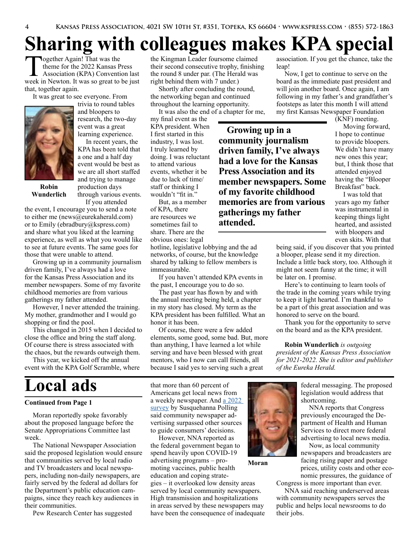**Growing up in a community journalism driven family, I've always had a love for the Kansas Press Association and its member newspapers. Some of my favorite childhood memories are from various** 

**gatherings my father** 

**attended.**

# **Sharing with colleagues makes KPA special**

Together Again! That was the theme for the 2022 Kansas Press Association (KPA) Convention last week in Newton. It was so great to be just that, together again.

It was great to see everyone. From



trivia to round tables and bloopers to research, the two-day event was a great learning experience.

In recent years, the KPA has been told that a one and a half day event would be best as we are all short staffed and trying to manage production days through various events.

**Robin Wunderlich**

If you attended

the event, I encourage you to send a note to either me (news@eurekaherald.com) or to Emily (ebradbury@kspress.com) and share what you liked at the learning experience, as well as what you would like to see at future events. The same goes for those that were unable to attend.

Growing up in a community journalism driven family, I've always had a love for the Kansas Press Association and its member newspapers. Some of my favorite childhood memories are from various gatherings my father attended.

However, I never attended the training. My mother, grandmother and I would go shopping or find the pool.

This changed in 2015 when I decided to close the office and bring the staff along. Of course there is stress associated with the chaos, but the rewards outweigh them.

This year, we kicked off the annual event with the KPA Golf Scramble, where

# **Local ads**

#### **Continued from Page 1**

Moran reportedly spoke favorably about the proposed language before the Senate Appropriations Committee last week.

The National Newspaper Association said the proposed legislation would ensure that communities served by local radio and TV broadcasters and local newspapers, including non-daily newspapers, are fairly served by the federal ad dollars for the Department's public education campaigns, since they reach key audiences in their communities.

Pew Research Center has suggested

the Kingman Leader foursome claimed their second consecutive trophy, finishing the round 8 under par. (The Herald was right behind them with 7 under.)

Shortly after concluding the round, the networking began and continued throughout the learning opportunity.

It was also the end of a chapter for me, my final event as the KPA president. When I first started in this industry, I was lost. I truly learned by doing. I was reluctant to attend various events, whether it be due to lack of time/ staff or thinking I wouldn't "fit in."

But, as a member of KPA, there are resources we sometimes fail to share. There are the obvious ones: legal

hotline, legislative lobbying and the ad networks, of course, but the knowledge shared by talking to fellow members is immeasurable.

If you haven't attended KPA events in the past, I encourage you to do so.

The past year has flown by and with the annual meeting being held, a chapter in my story has closed. My term as the KPA president has been fulfilled. What an honor it has been.

Of course, there were a few added elements, some good, some bad. But, more than anything, I have learned a lot while serving and have been blessed with great mentors, who I now can call friends, all because I said yes to serving such a great

that more than 60 percent of Americans get local news from a weekly newspaper. And [a 2022](https://www.nna.org/newspaper-readers-are-voters-voters-hungry-for-professional-integrity
)  [survey](https://www.nna.org/newspaper-readers-are-voters-voters-hungry-for-professional-integrity
) by Susquehanna Polling said community newspaper advertising surpassed other sources to guide consumers' decisions.

However, NNA reported as the federal government began to spend heavily upon COVID-19 advertising programs – promoting vaccines, public health education and coping strategies – it overlooked low density areas

served by local community newspapers. High transmission and hospitalizations in areas served by these newspapers may have been the consequence of inadequate



**Moran**

association. If you get the chance, take the leap!

Now, I get to continue to serve on the board as the immediate past president and will join another board. Once again, I am following in my father's and grandfather's footsteps as later this month I will attend my first Kansas Newspaper Foundation

(KNF) meeting.

Moving forward, I hope to continue to provide bloopers. We didn't have many new ones this year; but, I think those that attended enjoyed having the "Blooper Breakfast" back.

I was told that years ago my father was instrumental in keeping things light hearted, and assisted with bloopers and even skits. With that

being said, if you discover that you printed a blooper, please send it my direction. Include a little back story, too. Although it might not seem funny at the time; it will be later on. I promise.

Here's to continuing to learn tools of the trade in the coming years while trying to keep it light hearted. I'm thankful to be a part of this great association and was honored to serve on the board.

Thank you for the opportunity to serve on the board and as the KPA president.

**Robin Wunderlich** *is outgoing president of the Kansas Press Association for 2021-2022. She is editor and publisher of the Eureka Herald.*

> federal messaging. The proposed legislation would address that shortcoming.

NNA reports that Congress previously encouraged the Department of Health and Human Services to direct more federal advertising to local news media.

Now, as local community newspapers and broadcasters are facing rising paper and postage prices, utility costs and other economic pressures, the guidance of

Congress is more important than ever. NNA said reaching underserved areas with community newspapers serves the public and helps local newsrooms to do their jobs.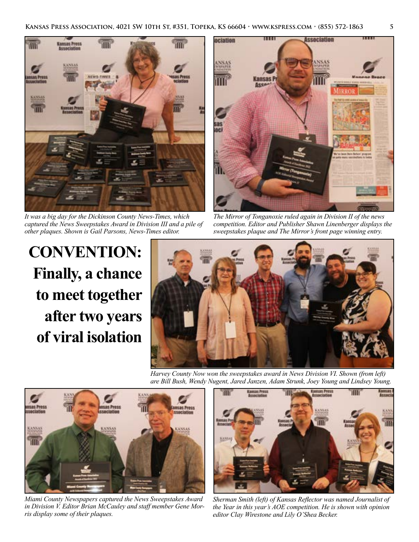

*It was a big day for the Dickinson County News-Times, which captured the News Sweepstakes Award in Division III and a pile of other plaques. Shown is Gail Parsons, News-Times editor.*

Association ociation MIRRO

Ш

*The Mirror of Tonganoxie ruled again in Division II of the news competition. Editor and Publisher Shawn Linenberger displays the sweepstakes plaque and The Mirror's front page winning entry.*

**CONVENTION: Finally, a chance to meet together after two years of viral isolation**



*Harvey County Now won the sweepstakes award in News Division VI. Shown (from left) are Bill Bush, Wendy Nugent, Jared Janzen, Adam Strunk, Joey Young and Lindsey Young.*



*Miami County Newspapers captured the News Sweepstakes Award in Division V. Editor Brian McCauley and staff member Gene Morris display some of their plaques.*



*Sherman Smith (left) of Kansas Reflector was named Journalist of the Year in this year's AOE competition. He is shown with opinion editor Clay Wirestone and Lily O'Shea Becker.*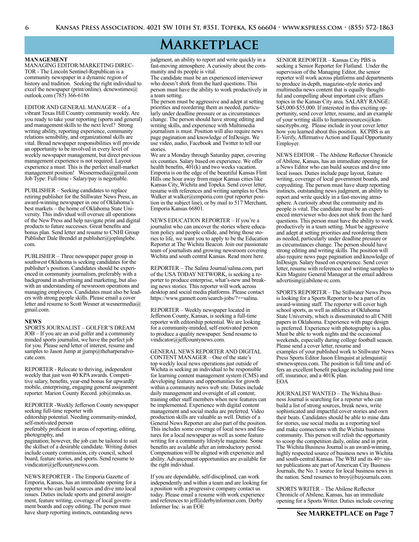# **Marketplace**

#### **MANAGEMENT**

MANAGING EDITOR/MARKETING DIREC-TOR - The Lincoln Sentinel-Republican is a community newspaper in a dynamic region of history and tradition. Seeking the right individual to excel the newspaper (print/online). dcnewstimes@ outlook.com (785) 366-6186

EDITOR AND GENERAL MANAGER – of a vibrant Texas Hill Country community weekly. Are you ready to take your reporting (sports and general) and management skills to the next level? Strong writing ability, reporting experience, community relations sensibility, and organizational skills are vital. Broad newspaper responsibilities will provide an opportunity to be involved in every level of weekly newspaper management, but direct previous management experience is not required. Layout experience a must. This is the perfect small-market management position! Wesnermedia@gmail.com Job Type: Full-time - Salary/pay is negotiable.

PUBLISHER – Seeking candidates to replace retiring publisher for the Stillwater News Press, an award-winning newspaper in one of Oklahoma's best markets – the home of Oklahoma State University. This individual will oversee all operations of the New Press and help navigate print and digital products to future successes. Great benefits and bonus plan. Send letter and resume to CNHI Group Publisher Dale Brendel at publisher@joplinglobe. com.

PUBLISHER – Three newspaper paper group in southwest Oklahoma is seeking candidates for the publisher's position. Candidates should be experienced in community journalism, preferably with a background in advertising and marketing, but also with an understanding of newsroom operations and managing employees. Candidates must also be leaders with strong people skills. Please email a cover letter and resume to Scott Wesner at wesnermedia@ gmail.com.

#### **NEWS**

SPORTS JOURNALIST – GOLFER'S DREAM JOB – If you are an avid golfer and a community minded sports journalist, we have the perfect job for you. Please send letter of interest, resume and samples to Jason Jump at jjump@theharperadvocate.com.

REPORTER - Relocate to thriving, independent weekly that just won 40 KPA awards. Competitive salary, benefits, year-end bonus for upwardly mobile, enterprising, engaging general assignment reporter. Marion County Record. job@mnks.us.

REPORTER -Weekly Jefferson County newspaper seeking full-time reporter with

editorship potential. Needing community-minded, self-motivated person

preferably proficient in areas of reporting, editing, photography, and

pagination; however, the job can be tailored to suit the skillset of a desirable candidate. Writing duties include county commission, city council, school board, feature stories, and sports. Send resume to vindicator@jeffcountynews.com.

NEWS REPORTER - The Emporia Gazette of Emporia, Kansas, has an immediate opening for a reporter who can build sources and dive into local issues. Duties include sports and general assignment, feature writing, coverage of local government boards and copy editing. The person must have sharp reporting instincts, outstanding news

judgment, an ability to report and write quickly in a fast-moving atmosphere. A curiosity about the community and its people is vital.

The candidate must be an experienced interviewer who doesn't shirk from the hard questions. This person must have the ability to work productively in a team setting.

The person must be aggressive and adept at setting priorities and reordering them as needed, particularly under deadline pressure or as circumstances change. The person should have strong editing and writing skills, and experience with Multimedia journalism is must. Position will also require news page pagination and knowledge of InDesign. We use video, audio, Facebook and Twitter to tell our stories.

We are a Monday through Saturday paper, covering six counties. Salary based on experience. We offer health benefits, 401(k) and two weeks vacation. Emporia is on the edge of the beautiful Kansas Flint Hills one hour away from major Kansas cities like Kansas City, Wichita and Topeka. Send cover letter, resume with references and writing samples to Chris Walker at walker@emporia.com (put reporter position in the subject line), or by mail to 517 Merchant, Emporia Kansas 66801.

NEWS EDUCATION REPORTER – If you're a journalist who can uncover the stories where education policy and people collide, and bring those stories to life, we want you to apply to be the Education Reporter at The Wichita Beacon. Join our passionate team of journalists and growing newsroom covering Wichita and south central Kansas. Read more here.

REPORTER – The Salina Journal/salina.com, part of the USA TODAY NETWORK, is seeking a reporter to produce enterprise, what's-new and breaking news stories. This reporter will work across desktop and social media platforms. Please contact https://www.gannett.com/search-jobs/?+=salina.

REPORTER – Weekly newspaper located in Jefferson County, Kansas, is seeking a full-time reporter with editorship potential. We are looking for a community-minded, self-motivated person to produce a quality newspaper. Send resume to vindicator@jeffcountynews.com.

GENERAL NEWS REPORTER AND DIGITAL CONTENT MANAGER – One of the state's top weekly local news operations just outside of Wichita is seeking an individual to be responsible for learning content management system (CMS) and developing features and opportunities for growth within a community news web site. Duties include daily management and oversight of all content; training other staff members when new features can be implemented. Experience with digital content management and social media are preferred. Video production skills are valuable as well. Duties of a General News Reporter are also part of the position. This includes some coverage of local news and features for a local newspaper as well as some feature writing for a community lifestyle magazine. Some benefits are available after an introductory period. Compensation will be aligned with experience and ability. Advancement opportunities are available for the right individual.

If you are dependable, self-disciplined, can work independently and within a team and are looking for a position with a progressive company contact us today. Please email a resume with work experience and references to jeff@derbyinformer.com. Derby Informer Inc. is an EOE

SENIOR REPORTER – Kansas City PBS is seeking a Senior Reporter for Flatland. Under the supervision of the Managing Editor, the senior reporter will work across platforms and departments to produce in-depth, magazine-style stories and multimedia news content that is equally thoughtful and compelling about important civic affairs topics in the Kansas City area. SALARY RANGE: \$45,000-\$55,000. If interested in this exciting opportunity, send cover letter, resume, and an example of your writing skills to humanresources@kansascitypbs.org. Please include in your cover letter how you learned about this position. KCPBS is an E-Verify, Affirmative Action and Equal Opportunity Employer.

NEWS EDITOR – The Abilene Reflector Chronicle of Abilene, Kansas, has an immediate opening for a News Editor who can build sources and dive into local issues. Duties include page layout, feature writing, coverage of local government boards, and copyediting. The person must have sharp reporting instincts, outstanding news judgment, an ability to report and write quickly in a fast-moving atmosphere. A curiosity about the community and its people is vital. The candidate must be an experienced interviewer who does not shirk from the hard questions. This person must have the ability to work productively in a team setting. Must be aggressive and adept at setting priorities and reordering them as needed, particularly under deadline pressure or as circumstances change. The person should have strong editing and writing skills. The position will also require news page pagination and knowledge of InDesign. Salary based on experience. Send cover letter, resume with references and writing samples to Kim Maguire General Manager at the email address advertising@abilene-rc.com.

SPORTS REPORTER – The Stillwater News Press is looking for a Sports Reporter to be a part of its award-winning staff. The reporter will cover high school sports, as well as athletics at Oklahoma State University, which is disseminated to all CNHI papers in Oklahoma. Experience with page design is preferred. Experience with photography is a plus. Must be able to work nights and the occasional weekends, especially during college football season. Please send a cover letter, resume and examples of your published work to Stillwater News Press Sports Editor Jason Elmquist at jelmquist@ stwnewspress.com. The position is full time and offers an excellent benefit package including paid time off, insurance, and a 401K plan. EOA

JOURNALIST WANTED – The Wichita Business Journal is searching for a reporter who can build a list of strong sources, break news, write sophisticated and impactful cover stories and own their beats. Candidates should be able to mine data for stories, use social media as a reporting tool and make connections with the Wichita business community. This person will relish the opportunity to scoop the competition daily, online and in print. The Wichita Business Journal is an award-winning, highly respected source of business news in Wichita and south-central Kansas. The WBJ and its 40+ sister publications are part of American City Business Journals, the No. 1 source for local business news in the nation. Send resumes to broy@bizjournals.com.

SPORTS WRITER – The Abilene Reflector Chronicle of Abilene, Kansas, has an immediate opening for a Sports Writer. Duties include covering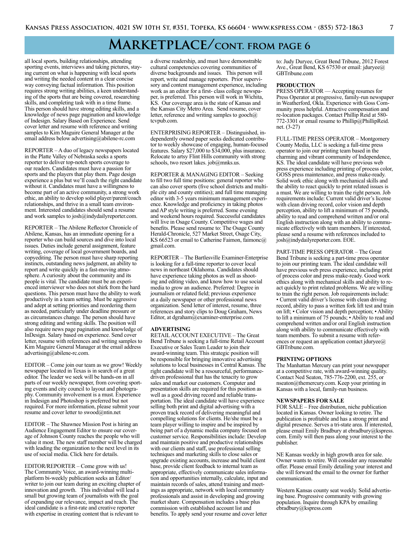# **Marketplace/cont. from page 6**

all local sports, building relationships, attending sporting events, interviews and taking pictures, staying current on what is happening with local sports and writing the needed content in a clear concise way conveying factual information. This position requires strong writing abilities, a keen understanding of the sports that are being covered, researching skills, and completing task with in a time frame. This person should have strong editing skills, and a knowledge of news page pagination and knowledge of Indesign. Salary Based on Experience. Send cover letter and resume with reference and writing samples to Kim Maguire General Manager at the email address below advertising@abilene-rc.com

REPORTER – A duo of legacy newspapers located in the Platte Valley of Nebraska seeks a sports reporter to deliver top-notch sports coverage to our readers. Candidates must have a passion for sports and the players that play them. Page design experience a plus but we'll coach the right candidate without it. Candidates must have a willingness to become part of an active community, a strong work ethic, an ability to develop solid player/parent/coach relationships, and thrive in a small team environment. Interested candidates should send a resume and work samples to josh@indydailyreporter.com.

REPORTER – The Abilene Reflector Chronicle of Abilene, Kansas, has an immediate opening for a reporter who can build sources and dive into local issues. Duties include general assignment, feature writing, coverage of local government boards, and copyediting. The person must have sharp reporting instincts, outstanding news judgment, an ability to report and write quickly in a fast-moving atmosphere. A curiosity about the community and its people is vital. The candidate must be an experienced interviewer who does not shirk from the hard questions. This person must have the ability to work productively in a team setting. Must be aggressive and adept at setting priorities and reordering them as needed, particularly under deadline pressure or as circumstances change. The person should have strong editing and writing skills. The position will also require news page pagination and knowledge of InDesign. Salary based on experience. Send cover letter, resume with references and writing samples to Kim Maguire General Manager at the email address advertising@abilene-rc.com.

EDITOR – Come join our team as we grow! Weekly newspaper located in Texas is in search of a great editor. The leader we seek will be hands-on in all parts of our weekly newspaper, from covering sporting events and city council to layout and photography. Community involvement is a must. Experience in Indesign and Photoshop is preferred but not required. For more information, please submit your resume and cover letter to swood@ntin.net

EDITOR – The Shawnee Mission Post is hiring an Audience Engagement Editor to ensure our coverage of Johnson County reaches the people who will value it most. The new staff member will be charged with leading the organization to the next level in its use of social media. Click here for details.

EDITOR/REPORTER – Come grow with us! The Community Voice, an award-winning multiplatform bi-weekly publication seeks an Editor/ writer to join our team during an exciting chapter of innovation and growth. This individual will lead a small but growing team of journalists with the goal of expanding our relevance, impact and reach. The ideal candidate is a first-rate and creative reporter with expertise in creating content that is relevant to

a diverse readership, and must have demonstrable cultural competencies covering communities of diverse backgrounds and issues. This person will report, write and manage reporters. Prior supervisory and content management experience, including work as an editor for a first- class college newspaper, is preferred. This person will work in Wichita, KS. Our coverage area is the state of Kansas and the Kansas City Metro Area. Send resume, cover letter, reference and writing samples to gooch@ tcvpub.com.

ENTERPRISING REPORTER – Distinguished, independently owned paper seeks dedicated contributor to weekly showcase of engaging, human-focused features. Salary \$27,000 to \$34,000, plus insurance. Relocate to artsy Flint Hills community with strong schools, two resort lakes. job@mnks.us.

REPORTER & MANAGING EDITOR – Seeking to fill two full time positions: general reporter who can also cover sports (five school districts and multiple city and county entities); and full time managing editor with 3-5 years minimum management experience. Knowledge and proficiency in taking photos and AP style writing is preferred. Some evening and weekend hours required. Successful candidates will live in Osage County. Competitive wages and benefits. Please send resume to: The Osage County Herald-Chronicle, 527 Market Street, Osage City, KS 66523 or email to Catherine Faimon, faimonc@ gmail.com.

REPORTER – The Bartlesville Examiner-Enterprise is looking for a full-time reporter to cover local news in northeast Oklahoma. Candidates should have experience taking photos as well as shooting and editing video, and know how to use social media to grow an audience. Preferred: Degree in journalism or related field; previous experience at a daily newspaper or other professional news organization. Send letter of interest, resume, three references and story clips to Doug Graham, News Editor, at dgraham@examiner-enterprise.com.

#### **ADVERTISING**

RETAIL ACCOUNT EXECUTIVE – The Great Bend Tribune is seeking a full-time Retail Account Executive or Sales Team Leader to join their award-winning team. This strategic position will be responsible for bringing innovative advertising solutions to local businesses in Central Kansas. The right candidate will be a resourceful, performancedriven professional that has the tenacity to grow sales and market our customers. Computer and presentation skills are required for this position as well as a good driving record and reliable transportation. The ideal candidate will have experience selling both print and digital advertising with a proven track record of delivering meaningful and compelling solutions for clients. He/she must be a team player willing to inspire and be inspired by being part of a dynamic media company focused on customer service. Responsibilities include: Develop and maintain positive and productive relationships with our clients and staff, use professional selling techniques and marketing skills to close sales or upgrade existing accounts, increase and build client base, provide client feedback to internal team as appropriate, effectively communicate sales information and opportunities internally, calculate, input and maintain records of sales, attend training and meetings as appropriate, network with local community professionals and assist in developing and growing market share. Compensation includes a base plus commission with established account list and benefits. To apply send your resume and cover letter

to: Judy Duryee, Great Bend Tribune, 2012 Forest Ave., Great Bend, KS 67530 or email: jduryee@ GBTribune.com

#### **PRODUCTION**

PRESS OPERATOR — Accepting resumes for Press Operator at progressive, family-run newspaper in Weatherford, Okla. Experience with Goss Community press helpful. Attractive compensation and re-location packages. Contact Phillip Reid at 580- 772-3301 or email resume to Phillip@PhillipReid. net. (3-27)

FULL-TIME PRESS OPERATOR – Montgomery County Media, LLC is seeking a full-time press operator to join our printing team based in the charming and vibrant community of Independence, KS. The ideal candidate will have previous web press experience including printing of process color, GOSS press maintenance, and press make-ready. Solid work ethic along with mechanical skills and the ability to react quickly to print related issues is a must. We are willing to train the right person. Job requirements include: Current valid driver's license with clean driving record, color vision and depth perception, ability to lift a minimum of 75 pounds, ability to read and comprehend written and/or oral English instruction along with an ability to communicate effectively with team members. If interested, please send a resume with references included to josh@indydailyreporter.com. EOE.

PART-TIME PRESS OPERATOR – The Great Bend Tribune is seeking a part-time press operator to join our printing team. The ideal candidate will have previous web press experience, including print of process color and press make-ready. Good work ethics along with mechanical skills and ability to react quickly to print related problems. We are willing to train the right person. Job requirements include: • Current valid driver's license with clean driving record, ability to pass a written fork lift test and train on lift; • Color vision and depth perception; • Ability to lift a minimum of 75 pounds; • Ability to read and comprehend written and/or oral English instruction along with ability to communicate effectively with team members. To submit a resume with references or request an application contact jduryee $\omega$ GBTribune.com.

#### **PRINTING OPTIONS**

The Manhattan Mercury can print your newspaper at a competitive rate, with award-winning quality. Contact Ned Seaton, 785-776-2200, ext. 255, or nseaton@themercury.com. Keep your printing in Kansas with a local, family-run business.

#### **NEWSPAPERS FOR SALE**

FOR SALE – Free distribution, niche publication located in Kansas. Owner looking to retire. The publication is profitable and has a strong print and digital presence. Serves a tri-state area. If interested, please email Emily Bradbury at ebradbury@kspress. com. Emily will then pass along your interest to the publisher.

NE Kansas weekly in high growth area for sale. Owner wants to retire. Will consider any reasonable offer. Please email Emily detailing your interest and she will forward the email to the owner for further communication.

Western Kansas county seat weekly. Solid advertising base. Progressive community with growing population. Inquire through KPA by emailing ebradbury@kspress.com